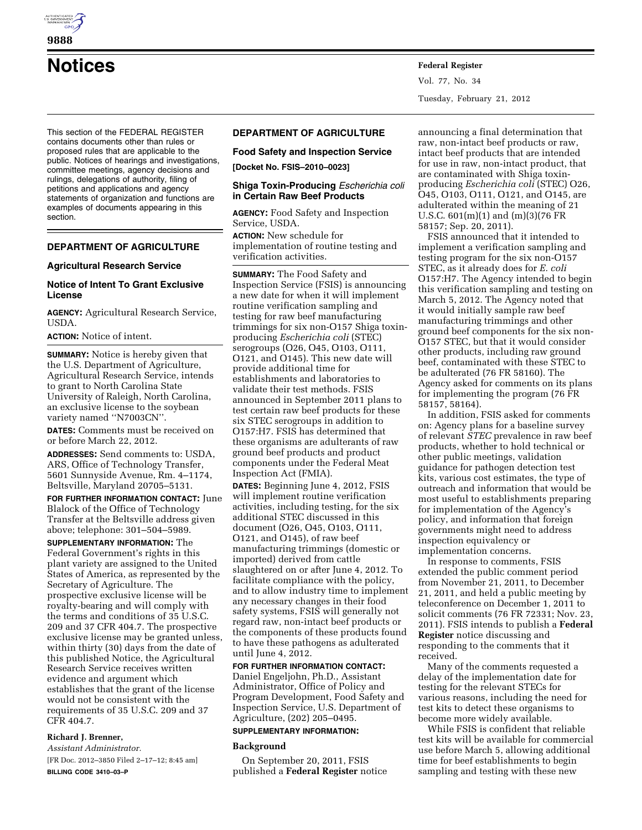

**Notices Federal Register**

This section of the FEDERAL REGISTER contains documents other than rules or proposed rules that are applicable to the public. Notices of hearings and investigations, committee meetings, agency decisions and rulings, delegations of authority, filing of petitions and applications and agency statements of organization and functions are examples of documents appearing in this section.

## **DEPARTMENT OF AGRICULTURE**

#### **Agricultural Research Service**

### **Notice of Intent To Grant Exclusive License**

**AGENCY:** Agricultural Research Service, USDA.

**ACTION:** Notice of intent.

**SUMMARY:** Notice is hereby given that the U.S. Department of Agriculture, Agricultural Research Service, intends to grant to North Carolina State University of Raleigh, North Carolina, an exclusive license to the soybean variety named ''N7003CN''.

**DATES:** Comments must be received on or before March 22, 2012.

**ADDRESSES:** Send comments to: USDA, ARS, Office of Technology Transfer, 5601 Sunnyside Avenue, Rm. 4–1174, Beltsville, Maryland 20705–5131.

**FOR FURTHER INFORMATION CONTACT:** June Blalock of the Office of Technology Transfer at the Beltsville address given above; telephone: 301–504–5989.

**SUPPLEMENTARY INFORMATION:** The Federal Government's rights in this plant variety are assigned to the United States of America, as represented by the Secretary of Agriculture. The prospective exclusive license will be royalty-bearing and will comply with the terms and conditions of 35 U.S.C. 209 and 37 CFR 404.7. The prospective exclusive license may be granted unless, within thirty (30) days from the date of this published Notice, the Agricultural Research Service receives written evidence and argument which establishes that the grant of the license would not be consistent with the requirements of 35 U.S.C. 209 and 37 CFR 404.7.

# **Richard J. Brenner,**

*Assistant Administrator.*  [FR Doc. 2012–3850 Filed 2–17–12; 8:45 am] **BILLING CODE 3410–03–P** 

# **DEPARTMENT OF AGRICULTURE**

#### **Food Safety and Inspection Service**

**[Docket No. FSIS–2010–0023]** 

# **Shiga Toxin-Producing** *Escherichia coli*  **in Certain Raw Beef Products**

**AGENCY:** Food Safety and Inspection Service, USDA.

**ACTION:** New schedule for implementation of routine testing and verification activities.

**SUMMARY:** The Food Safety and Inspection Service (FSIS) is announcing a new date for when it will implement routine verification sampling and testing for raw beef manufacturing trimmings for six non-O157 Shiga toxinproducing *Escherichia coli* (STEC) serogroups (O26, O45, O103, O111, O121, and O145). This new date will provide additional time for establishments and laboratories to validate their test methods. FSIS announced in September 2011 plans to test certain raw beef products for these six STEC serogroups in addition to O157:H7. FSIS has determined that these organisms are adulterants of raw ground beef products and product components under the Federal Meat Inspection Act (FMIA).

**DATES:** Beginning June 4, 2012, FSIS will implement routine verification activities, including testing, for the six additional STEC discussed in this document (O26, O45, O103, O111, O121, and O145), of raw beef manufacturing trimmings (domestic or imported) derived from cattle slaughtered on or after June 4, 2012. To facilitate compliance with the policy, and to allow industry time to implement any necessary changes in their food safety systems, FSIS will generally not regard raw, non-intact beef products or the components of these products found to have these pathogens as adulterated until June 4, 2012.

#### **FOR FURTHER INFORMATION CONTACT:**

Daniel Engeljohn, Ph.D., Assistant Administrator, Office of Policy and Program Development, Food Safety and Inspection Service, U.S. Department of Agriculture, (202) 205–0495.

# **SUPPLEMENTARY INFORMATION:**

#### **Background**

On September 20, 2011, FSIS published a **Federal Register** notice

announcing a final determination that raw, non-intact beef products or raw, intact beef products that are intended for use in raw, non-intact product, that are contaminated with Shiga toxinproducing *Escherichia coli* (STEC) O26, O45, O103, O111, O121, and O145, are adulterated within the meaning of 21 U.S.C. 601(m)(1) and (m)(3)(76 FR 58157; Sep. 20, 2011).

FSIS announced that it intended to implement a verification sampling and testing program for the six non-O157 STEC, as it already does for *E. coli*  O157:H7. The Agency intended to begin this verification sampling and testing on March 5, 2012. The Agency noted that it would initially sample raw beef manufacturing trimmings and other ground beef components for the six non-O157 STEC, but that it would consider other products, including raw ground beef, contaminated with these STEC to be adulterated (76 FR 58160). The Agency asked for comments on its plans for implementing the program (76 FR 58157, 58164).

In addition, FSIS asked for comments on: Agency plans for a baseline survey of relevant *STEC* prevalence in raw beef products, whether to hold technical or other public meetings, validation guidance for pathogen detection test kits, various cost estimates, the type of outreach and information that would be most useful to establishments preparing for implementation of the Agency's policy, and information that foreign governments might need to address inspection equivalency or implementation concerns.

In response to comments, FSIS extended the public comment period from November 21, 2011, to December 21, 2011, and held a public meeting by teleconference on December 1, 2011 to solicit comments (76 FR 72331; Nov. 23, 2011). FSIS intends to publish a **Federal Register** notice discussing and responding to the comments that it received.

Many of the comments requested a delay of the implementation date for testing for the relevant STECs for various reasons, including the need for test kits to detect these organisms to become more widely available.

While FSIS is confident that reliable test kits will be available for commercial use before March 5, allowing additional time for beef establishments to begin sampling and testing with these new